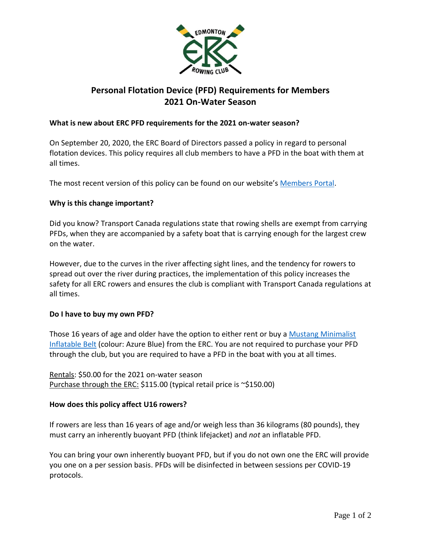

# **Personal Flotation Device (PFD) Requirements for Members 2021 On-Water Season**

## **What is new about ERC PFD requirements for the 2021 on-water season?**

On September 20, 2020, the ERC Board of Directors passed a policy in regard to personal flotation devices. This policy requires all club members to have a PFD in the boat with them at all times.

The most recent version of this policy can be found on our website's [Members Portal.](https://edmontonrowing.ca/members/)

## **Why is this change important?**

Did you know? Transport Canada regulations state that rowing shells are exempt from carrying PFDs, when they are accompanied by a safety boat that is carrying enough for the largest crew on the water.

However, due to the curves in the river affecting sight lines, and the tendency for rowers to spread out over the river during practices, the implementation of this policy increases the safety for all ERC rowers and ensures the club is compliant with Transport Canada regulations at all times.

### **Do I have to buy my own PFD?**

Those 16 years of age and older have the option to either rent or buy a Mustang Minimalist [Inflatable Belt](https://mustangsurvival.ca/collections/inflatable-pfds/products/minimalist-belt-pack-md3070) (colour: Azure Blue) from the ERC. You are not required to purchase your PFD through the club, but you are required to have a PFD in the boat with you at all times.

Rentals: \$50.00 for the 2021 on-water season Purchase through the ERC: \$115.00 (typical retail price is ~\$150.00)

### **How does this policy affect U16 rowers?**

If rowers are less than 16 years of age and/or weigh less than 36 kilograms (80 pounds), they must carry an inherently buoyant PFD (think lifejacket) and *not* an inflatable PFD.

You can bring your own inherently buoyant PFD, but if you do not own one the ERC will provide you one on a per session basis. PFDs will be disinfected in between sessions per COVID-19 protocols.